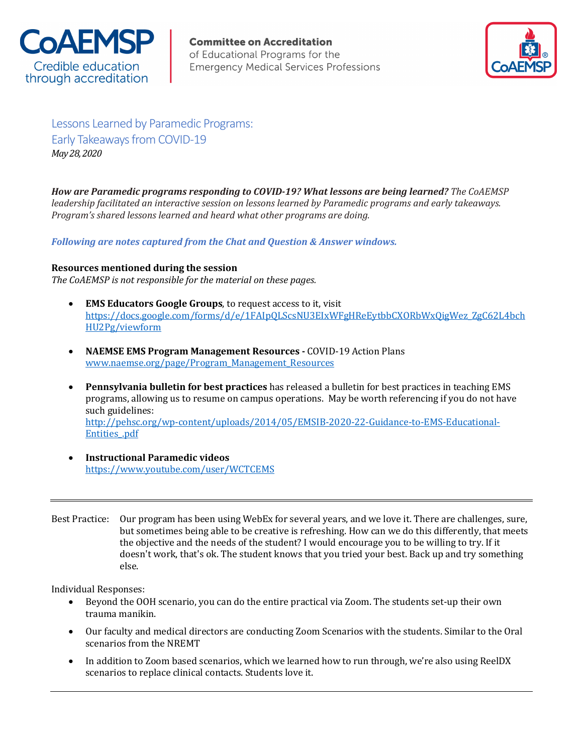

**Committee on Accreditation** of Educational Programs for the **Emergency Medical Services Professions** 



Lessons Learned by Paramedic Programs: Early Takeaways from COVID-19 *May 28, 2020*

How are Paramedic programs responding to COVID-19? What lessons are being learned? The CoAEMSP *leadership* facilitated an interactive session on lessons learned by Paramedic programs and early takeaways. *Program's* shared lessons learned and heard what other programs are doing.

*Following are notes captured from the Chat and Question & Answer windows.* 

## **Resources mentioned during the session**

The CoAEMSP is not responsible for the material on these pages.

- **EMS Educators Google Groups**, to request access to it, visit https://docs.google.com/forms/d/e/1FAIpQLScsNU3EIxWFgHReEytbbCXORbWxQigWez\_ZgC62L4bch HU2Pg/viewform
- **NAEMSE EMS Program Management Resources COVID-19 Action Plans** www.naemse.org/page/Program\_Management\_Resources
- **Pennsylvania bulletin for best practices** has released a bulletin for best practices in teaching EMS programs, allowing us to resume on campus operations. May be worth referencing if you do not have such guidelines: http://pehsc.org/wp-content/uploads/2014/05/EMSIB-2020-22-Guidance-to-EMS-Educational-Entities\_.pdf
- **Instructional Paramedic videos** https://www.youtube.com/user/WCTCEMS
- Best Practice: Our program has been using WebEx for several years, and we love it. There are challenges, sure, but sometimes being able to be creative is refreshing. How can we do this differently, that meets the objective and the needs of the student? I would encourage you to be willing to try. If it doesn't work, that's ok. The student knows that you tried your best. Back up and try something else.

- Beyond the OOH scenario, you can do the entire practical via Zoom. The students set-up their own trauma manikin.
- Our faculty and medical directors are conducting Zoom Scenarios with the students. Similar to the Oral scenarios from the NREMT
- In addition to Zoom based scenarios, which we learned how to run through, we're also using ReelDX scenarios to replace clinical contacts. Students love it.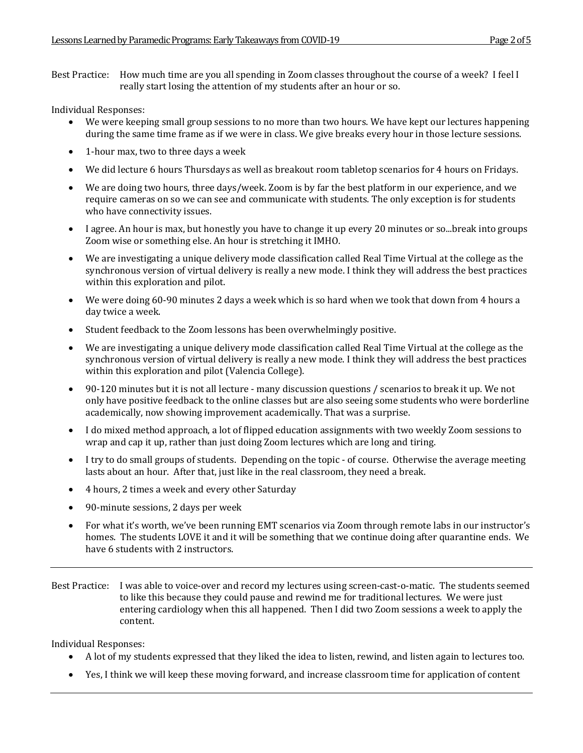Best Practice: How much time are you all spending in Zoom classes throughout the course of a week? I feel I really start losing the attention of my students after an hour or so.

Individual Responses:

- We were keeping small group sessions to no more than two hours. We have kept our lectures happening during the same time frame as if we were in class. We give breaks every hour in those lecture sessions.
- 1-hour max, two to three days a week
- We did lecture 6 hours Thursdays as well as breakout room tabletop scenarios for 4 hours on Fridays.
- We are doing two hours, three days/week. Zoom is by far the best platform in our experience, and we require cameras on so we can see and communicate with students. The only exception is for students who have connectivity issues.
- I agree. An hour is max, but honestly you have to change it up every 20 minutes or so...break into groups Zoom wise or something else. An hour is stretching it IMHO.
- We are investigating a unique delivery mode classification called Real Time Virtual at the college as the synchronous version of virtual delivery is really a new mode. I think they will address the best practices within this exploration and pilot.
- We were doing 60-90 minutes 2 days a week which is so hard when we took that down from 4 hours a day twice a week.
- Student feedback to the Zoom lessons has been overwhelmingly positive.
- We are investigating a unique delivery mode classification called Real Time Virtual at the college as the synchronous version of virtual delivery is really a new mode. I think they will address the best practices within this exploration and pilot (Valencia College).
- 90-120 minutes but it is not all lecture many discussion questions / scenarios to break it up. We not only have positive feedback to the online classes but are also seeing some students who were borderline academically, now showing improvement academically. That was a surprise.
- I do mixed method approach, a lot of flipped education assignments with two weekly Zoom sessions to wrap and cap it up, rather than just doing Zoom lectures which are long and tiring.
- I try to do small groups of students. Depending on the topic of course. Otherwise the average meeting lasts about an hour. After that, just like in the real classroom, they need a break.
- 4 hours, 2 times a week and every other Saturday
- 90-minute sessions, 2 days per week
- For what it's worth, we've been running EMT scenarios via Zoom through remote labs in our instructor's homes. The students LOVE it and it will be something that we continue doing after quarantine ends. We have 6 students with 2 instructors.
- Best Practice: I was able to voice-over and record my lectures using screen-cast-o-matic. The students seemed to like this because they could pause and rewind me for traditional lectures. We were just entering cardiology when this all happened. Then I did two Zoom sessions a week to apply the content.

- A lot of my students expressed that they liked the idea to listen, rewind, and listen again to lectures too.
- Yes, I think we will keep these moving forward, and increase classroom time for application of content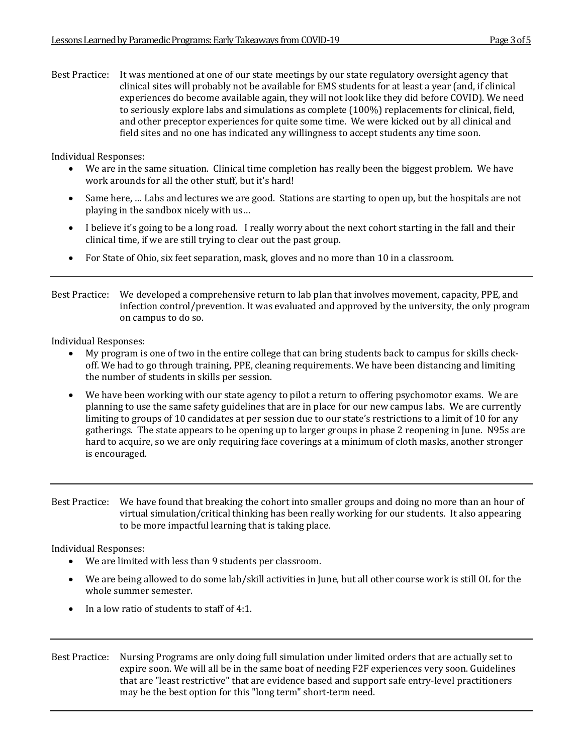Best Practice: It was mentioned at one of our state meetings by our state regulatory oversight agency that clinical sites will probably not be available for EMS students for at least a year (and, if clinical experiences do become available again, they will not look like they did before COVID). We need to seriously explore labs and simulations as complete (100%) replacements for clinical, field, and other preceptor experiences for quite some time. We were kicked out by all clinical and field sites and no one has indicated any willingness to accept students any time soon.

Individual Responses:

- We are in the same situation. Clinical time completion has really been the biggest problem. We have work arounds for all the other stuff, but it's hard!
- Same here, ... Labs and lectures we are good. Stations are starting to open up, but the hospitals are not playing in the sandbox nicely with us...
- I believe it's going to be a long road. I really worry about the next cohort starting in the fall and their clinical time, if we are still trying to clear out the past group.
- For State of Ohio, six feet separation, mask, gloves and no more than 10 in a classroom.
- Best Practice: We developed a comprehensive return to lab plan that involves movement, capacity, PPE, and infection control/prevention. It was evaluated and approved by the university, the only program on campus to do so.

Individual Responses:

- My program is one of two in the entire college that can bring students back to campus for skills checkoff. We had to go through training, PPE, cleaning requirements. We have been distancing and limiting the number of students in skills per session.
- We have been working with our state agency to pilot a return to offering psychomotor exams. We are planning to use the same safety guidelines that are in place for our new campus labs. We are currently limiting to groups of 10 candidates at per session due to our state's restrictions to a limit of 10 for any gatherings. The state appears to be opening up to larger groups in phase 2 reopening in June. N95s are hard to acquire, so we are only requiring face coverings at a minimum of cloth masks, another stronger is encouraged.
- Best Practice: We have found that breaking the cohort into smaller groups and doing no more than an hour of virtual simulation/critical thinking has been really working for our students. It also appearing to be more impactful learning that is taking place.

- We are limited with less than 9 students per classroom.
- We are being allowed to do some lab/skill activities in June, but all other course work is still OL for the whole summer semester.
- In a low ratio of students to staff of  $4:1$ .
- Best Practice: Nursing Programs are only doing full simulation under limited orders that are actually set to expire soon. We will all be in the same boat of needing F2F experiences very soon. Guidelines that are "least restrictive" that are evidence based and support safe entry-level practitioners may be the best option for this "long term" short-term need.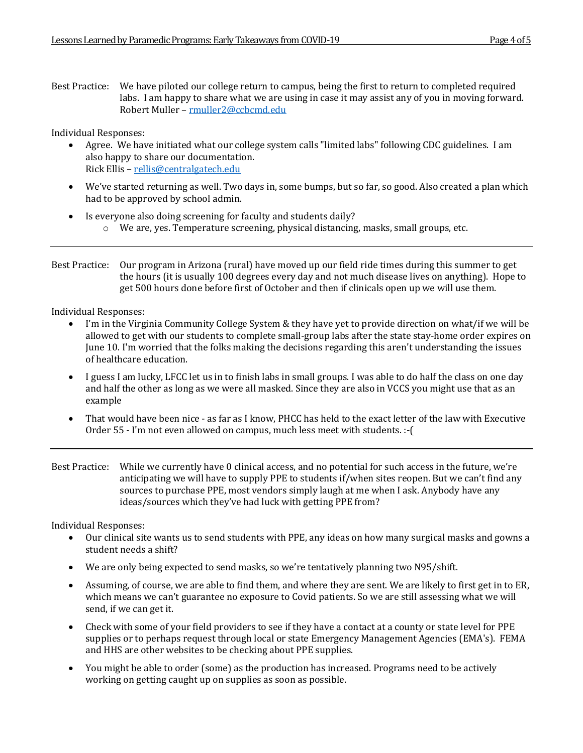Best Practice: We have piloted our college return to campus, being the first to return to completed required labs. I am happy to share what we are using in case it may assist any of you in moving forward. Robert Muller – rmuller2@ccbcmd.edu

Individual Responses:

- Agree. We have initiated what our college system calls "limited labs" following CDC guidelines. I am also happy to share our documentation. Rick Ellis – rellis@centralgatech.edu
- We've started returning as well. Two days in, some bumps, but so far, so good. Also created a plan which had to be approved by school admin.
- $\bullet$  Is everyone also doing screening for faculty and students daily?  $\circ$  We are, yes. Temperature screening, physical distancing, masks, small groups, etc.

Best Practice: Our program in Arizona (rural) have moved up our field ride times during this summer to get the hours (it is usually 100 degrees every day and not much disease lives on anything). Hope to get 500 hours done before first of October and then if clinicals open up we will use them.

Individual Responses:

- I'm in the Virginia Community College System & they have yet to provide direction on what/if we will be allowed to get with our students to complete small-group labs after the state stay-home order expires on June 10. I'm worried that the folks making the decisions regarding this aren't understanding the issues of healthcare education.
- I guess I am lucky, LFCC let us in to finish labs in small groups. I was able to do half the class on one day and half the other as long as we were all masked. Since they are also in VCCS you might use that as an example
- That would have been nice as far as I know, PHCC has held to the exact letter of the law with Executive Order 55 - I'm not even allowed on campus, much less meet with students. :-(
- Best Practice: While we currently have 0 clinical access, and no potential for such access in the future, we're anticipating we will have to supply PPE to students if/when sites reopen. But we can't find any sources to purchase PPE, most vendors simply laugh at me when I ask. Anybody have any ideas/sources which they've had luck with getting PPE from?

- Our clinical site wants us to send students with PPE, any ideas on how many surgical masks and gowns a student needs a shift?
- We are only being expected to send masks, so we're tentatively planning two N95/shift.
- Assuming, of course, we are able to find them, and where they are sent. We are likely to first get in to ER, which means we can't guarantee no exposure to Covid patients. So we are still assessing what we will send, if we can get it.
- Check with some of your field providers to see if they have a contact at a county or state level for PPE supplies or to perhaps request through local or state Emergency Management Agencies (EMA's). FEMA and HHS are other websites to be checking about PPE supplies.
- You might be able to order (some) as the production has increased. Programs need to be actively working on getting caught up on supplies as soon as possible.